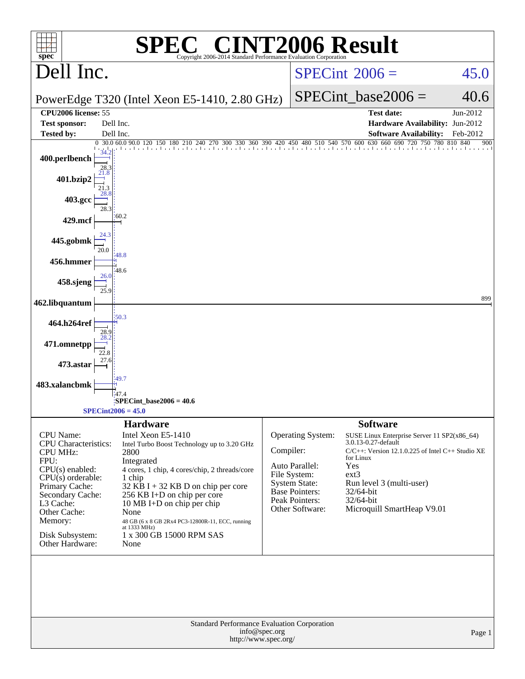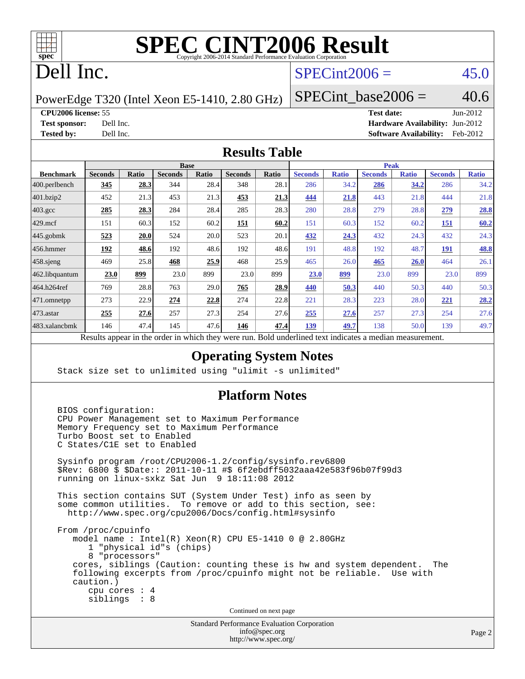

## Dell Inc.

#### $SPECint2006 = 45.0$  $SPECint2006 = 45.0$

PowerEdge T320 (Intel Xeon E5-1410, 2.80 GHz)

SPECint base2006 =  $40.6$ 

**[CPU2006 license:](http://www.spec.org/auto/cpu2006/Docs/result-fields.html#CPU2006license)** 55 **[Test date:](http://www.spec.org/auto/cpu2006/Docs/result-fields.html#Testdate)** Jun-2012 **[Test sponsor:](http://www.spec.org/auto/cpu2006/Docs/result-fields.html#Testsponsor)** Dell Inc. **[Hardware Availability:](http://www.spec.org/auto/cpu2006/Docs/result-fields.html#HardwareAvailability)** Jun-2012 **[Tested by:](http://www.spec.org/auto/cpu2006/Docs/result-fields.html#Testedby)** Dell Inc. **[Software Availability:](http://www.spec.org/auto/cpu2006/Docs/result-fields.html#SoftwareAvailability)** Feb-2012

#### **[Results Table](http://www.spec.org/auto/cpu2006/Docs/result-fields.html#ResultsTable)**

|                    |                |                 |                | <b>Base</b>  |                |             |                               |              |                | <b>Peak</b>  |                |              |
|--------------------|----------------|-----------------|----------------|--------------|----------------|-------------|-------------------------------|--------------|----------------|--------------|----------------|--------------|
| <b>Benchmark</b>   | <b>Seconds</b> | <b>Ratio</b>    | <b>Seconds</b> | <b>Ratio</b> | <b>Seconds</b> | Ratio       | <b>Seconds</b>                | <b>Ratio</b> | <b>Seconds</b> | <b>Ratio</b> | <b>Seconds</b> | <b>Ratio</b> |
| 400.perlbench      | 345            | 28.3            | 344            | 28.4         | 348            | 28.1        | 286                           | 34.2         | 286            | 34.2         | 286            | 34.2         |
| 401.bzip2          | 452            | 21.3            | 453            | 21.3         | 453            | 21.3        | 444                           | 21.8         | 443            | 21.8         | 444            | 21.8         |
| $403.\mathrm{gcc}$ | 285            | 28.3            | 284            | 28.4         | 285            | 28.3        | 280                           | 28.8         | 279            | 28.8         | 279            | 28.8         |
| $429$ .mcf         | 151            | 60.3            | 152            | 60.2         | 151            | 60.2        | 151                           | 60.3         | 152            | 60.2         | 151            | 60.2         |
| $445$ .gobmk       | 523            | 20.0            | 524            | 20.0         | 523            | 20.1        | 432                           | 24.3         | 432            | 24.3         | 432            | 24.3         |
| $456.$ hmmer       | 192            | 48.6            | 192            | 48.6         | 192            | 48.6        | 191                           | 48.8         | 192            | 48.7         | 191            | 48.8         |
| $458$ .sjeng       | 469            | 25.8            | 468            | 25.9         | 468            | 25.9        | 465                           | 26.0         | 465            | <b>26.0</b>  | 464            | 26.1         |
| 462.libquantum     | 23.0           | 899             | 23.0           | 899          | 23.0           | 899         | 23.0                          | 899          | 23.0           | 899          | 23.0           | 899          |
| 464.h264ref        | 769            | 28.8            | 763            | 29.0         | 765            | 28.9        | 440                           | 50.3         | 440            | 50.3         | 440            | 50.3         |
| 471.omnetpp        | 273            | 22.9            | 274            | 22.8         | 274            | 22.8        | 221                           | 28.3         | 223            | 28.0         | <u>221</u>     | 28.2         |
| $473$ . astar      | 255            | 27.6            | 257            | 27.3         | 254            | 27.6        | 255                           | 27.6         | 257            | 27.3         | 254            | 27.6         |
| 483.xalancbmk      | 146            | 47.4            | 145            | 47.6         | 146            | 47.4        | 139                           | 49.7         | 138            | 50.0         | 139            | 49.7         |
| D.                 | $\mathbf{1}$   | $\cdot$ $\cdot$ |                | 1.1.1        |                | <b>D</b> 11 | $1 \quad 1$<br>$\blacksquare$ | $\cdot$      | $\cdot$        |              |                |              |

Results appear in the [order in which they were run.](http://www.spec.org/auto/cpu2006/Docs/result-fields.html#RunOrder) Bold underlined text [indicates a median measurement.](http://www.spec.org/auto/cpu2006/Docs/result-fields.html#Median)

#### **[Operating System Notes](http://www.spec.org/auto/cpu2006/Docs/result-fields.html#OperatingSystemNotes)**

Stack size set to unlimited using "ulimit -s unlimited"

#### **[Platform Notes](http://www.spec.org/auto/cpu2006/Docs/result-fields.html#PlatformNotes)**

 BIOS configuration: CPU Power Management set to Maximum Performance Memory Frequency set to Maximum Performance Turbo Boost set to Enabled C States/C1E set to Enabled

 Sysinfo program /root/CPU2006-1.2/config/sysinfo.rev6800 \$Rev: 6800 \$ \$Date:: 2011-10-11 #\$ 6f2ebdff5032aaa42e583f96b07f99d3 running on linux-sxkz Sat Jun 9 18:11:08 2012

 This section contains SUT (System Under Test) info as seen by some common utilities. To remove or add to this section, see: <http://www.spec.org/cpu2006/Docs/config.html#sysinfo>

 From /proc/cpuinfo model name : Intel(R) Xeon(R) CPU E5-1410 0 @ 2.80GHz 1 "physical id"s (chips) 8 "processors" cores, siblings (Caution: counting these is hw and system dependent. The following excerpts from /proc/cpuinfo might not be reliable. Use with caution.) cpu cores : 4 siblings : 8

Continued on next page

Standard Performance Evaluation Corporation [info@spec.org](mailto:info@spec.org) <http://www.spec.org/>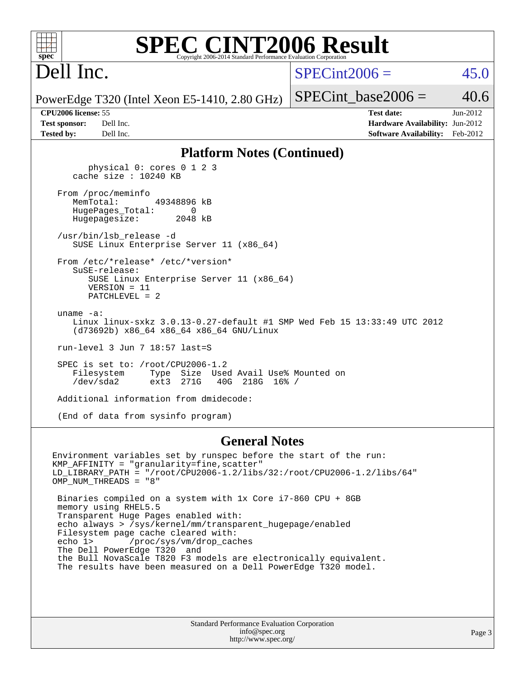| <b>C CINT2006 Result</b><br>$spec^*$<br>Copyright 2006-2014 Standard Performance Evaluation Corporation                                                  |                 |                                                                                                |          |
|----------------------------------------------------------------------------------------------------------------------------------------------------------|-----------------|------------------------------------------------------------------------------------------------|----------|
| Dell Inc.                                                                                                                                                | $SPECint2006 =$ |                                                                                                | 45.0     |
| PowerEdge T320 (Intel Xeon E5-1410, 2.80 GHz)                                                                                                            |                 | $SPECint\_base2006 =$                                                                          | 40.6     |
| <b>CPU2006 license: 55</b><br><b>Test sponsor:</b><br>Dell Inc.<br><b>Tested by:</b><br>Dell Inc.                                                        |                 | <b>Test date:</b><br>Hardware Availability: Jun-2012<br><b>Software Availability:</b> Feb-2012 | Jun-2012 |
| <b>Platform Notes (Continued)</b>                                                                                                                        |                 |                                                                                                |          |
| physical 0: cores 0 1 2 3<br>cache size : 10240 KB                                                                                                       |                 |                                                                                                |          |
| From /proc/meminfo<br>MemTotal:<br>49348896 kB<br>HugePages_Total:<br>0<br>Hugepagesize:<br>2048 kB                                                      |                 |                                                                                                |          |
| /usr/bin/lsb release -d<br>SUSE Linux Enterprise Server 11 (x86_64)                                                                                      |                 |                                                                                                |          |
| From /etc/*release* /etc/*version*<br>$S$ uSE-release:<br>SUSE Linux Enterprise Server 11 (x86_64)<br>$VERSION = 11$<br>PATCHLEVEL = 2                   |                 |                                                                                                |          |
| uname $-a$ :<br>Linux linux-sxkz 3.0.13-0.27-default #1 SMP Wed Feb 15 13:33:49 UTC 2012<br>(d73692b) x86_64 x86_64 x86_64 GNU/Linux                     |                 |                                                                                                |          |
| run-level 3 Jun 7 18:57 last=S                                                                                                                           |                 |                                                                                                |          |
| SPEC is set to: $/root/CPU2006-1.2$<br>Type Size Used Avail Use% Mounted on<br>Filesystem<br>$/\text{dev/sda2}$<br>ext3<br>271G<br>40G<br>$218G$ $16%$ / |                 |                                                                                                |          |
| Additional information from dmidecode:                                                                                                                   |                 |                                                                                                |          |
| (End of data from sysinfo program)                                                                                                                       |                 |                                                                                                |          |
| <b>General Notes</b><br>Environment variables set by runspec before the start of the run:                                                                |                 |                                                                                                |          |
| KMP_AFFINITY = "granularity=fine, scatter"                                                                                                               |                 |                                                                                                |          |

LD\_LIBRARY\_PATH = "/root/CPU2006-1.2/libs/32:/root/CPU2006-1.2/libs/64" OMP\_NUM\_THREADS = "8" Binaries compiled on a system with 1x Core i7-860 CPU + 8GB memory using RHEL5.5 Transparent Huge Pages enabled with: echo always > /sys/kernel/mm/transparent\_hugepage/enabled Filesystem page cache cleared with:<br>echo 1> /proc/sys/vm/drop cac /proc/sys/vm/drop\_caches The Dell PowerEdge T320 and

 the Bull NovaScale T820 F3 models are electronically equivalent. The results have been measured on a Dell PowerEdge T320 model.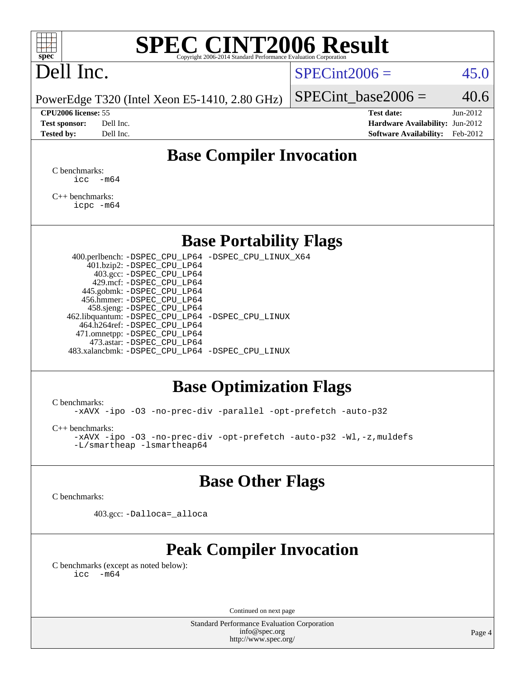

# Dell Inc.

#### $SPECint2006 = 45.0$  $SPECint2006 = 45.0$

PowerEdge T320 (Intel Xeon E5-1410, 2.80 GHz)

| <b>Test sponsor:</b> | Dell Inc. |
|----------------------|-----------|
| <b>Tested by:</b>    | Dell Inc. |

SPECint base2006 =  $40.6$ 

**[CPU2006 license:](http://www.spec.org/auto/cpu2006/Docs/result-fields.html#CPU2006license)** 55 **[Test date:](http://www.spec.org/auto/cpu2006/Docs/result-fields.html#Testdate)** Jun-2012 **[Hardware Availability:](http://www.spec.org/auto/cpu2006/Docs/result-fields.html#HardwareAvailability)** Jun-2012 **[Software Availability:](http://www.spec.org/auto/cpu2006/Docs/result-fields.html#SoftwareAvailability)** Feb-2012

### **[Base Compiler Invocation](http://www.spec.org/auto/cpu2006/Docs/result-fields.html#BaseCompilerInvocation)**

[C benchmarks](http://www.spec.org/auto/cpu2006/Docs/result-fields.html#Cbenchmarks):  $\text{icc}$   $-\text{m64}$ 

[C++ benchmarks:](http://www.spec.org/auto/cpu2006/Docs/result-fields.html#CXXbenchmarks) [icpc -m64](http://www.spec.org/cpu2006/results/res2012q3/cpu2006-20120730-23941.flags.html#user_CXXbase_intel_icpc_64bit_fc66a5337ce925472a5c54ad6a0de310)

#### **[Base Portability Flags](http://www.spec.org/auto/cpu2006/Docs/result-fields.html#BasePortabilityFlags)**

 400.perlbench: [-DSPEC\\_CPU\\_LP64](http://www.spec.org/cpu2006/results/res2012q3/cpu2006-20120730-23941.flags.html#b400.perlbench_basePORTABILITY_DSPEC_CPU_LP64) [-DSPEC\\_CPU\\_LINUX\\_X64](http://www.spec.org/cpu2006/results/res2012q3/cpu2006-20120730-23941.flags.html#b400.perlbench_baseCPORTABILITY_DSPEC_CPU_LINUX_X64) 401.bzip2: [-DSPEC\\_CPU\\_LP64](http://www.spec.org/cpu2006/results/res2012q3/cpu2006-20120730-23941.flags.html#suite_basePORTABILITY401_bzip2_DSPEC_CPU_LP64) 403.gcc: [-DSPEC\\_CPU\\_LP64](http://www.spec.org/cpu2006/results/res2012q3/cpu2006-20120730-23941.flags.html#suite_basePORTABILITY403_gcc_DSPEC_CPU_LP64) 429.mcf: [-DSPEC\\_CPU\\_LP64](http://www.spec.org/cpu2006/results/res2012q3/cpu2006-20120730-23941.flags.html#suite_basePORTABILITY429_mcf_DSPEC_CPU_LP64) 445.gobmk: [-DSPEC\\_CPU\\_LP64](http://www.spec.org/cpu2006/results/res2012q3/cpu2006-20120730-23941.flags.html#suite_basePORTABILITY445_gobmk_DSPEC_CPU_LP64) 456.hmmer: [-DSPEC\\_CPU\\_LP64](http://www.spec.org/cpu2006/results/res2012q3/cpu2006-20120730-23941.flags.html#suite_basePORTABILITY456_hmmer_DSPEC_CPU_LP64) 458.sjeng: [-DSPEC\\_CPU\\_LP64](http://www.spec.org/cpu2006/results/res2012q3/cpu2006-20120730-23941.flags.html#suite_basePORTABILITY458_sjeng_DSPEC_CPU_LP64) 462.libquantum: [-DSPEC\\_CPU\\_LP64](http://www.spec.org/cpu2006/results/res2012q3/cpu2006-20120730-23941.flags.html#suite_basePORTABILITY462_libquantum_DSPEC_CPU_LP64) [-DSPEC\\_CPU\\_LINUX](http://www.spec.org/cpu2006/results/res2012q3/cpu2006-20120730-23941.flags.html#b462.libquantum_baseCPORTABILITY_DSPEC_CPU_LINUX) 464.h264ref: [-DSPEC\\_CPU\\_LP64](http://www.spec.org/cpu2006/results/res2012q3/cpu2006-20120730-23941.flags.html#suite_basePORTABILITY464_h264ref_DSPEC_CPU_LP64) 471.omnetpp: [-DSPEC\\_CPU\\_LP64](http://www.spec.org/cpu2006/results/res2012q3/cpu2006-20120730-23941.flags.html#suite_basePORTABILITY471_omnetpp_DSPEC_CPU_LP64) 473.astar: [-DSPEC\\_CPU\\_LP64](http://www.spec.org/cpu2006/results/res2012q3/cpu2006-20120730-23941.flags.html#suite_basePORTABILITY473_astar_DSPEC_CPU_LP64) 483.xalancbmk: [-DSPEC\\_CPU\\_LP64](http://www.spec.org/cpu2006/results/res2012q3/cpu2006-20120730-23941.flags.html#suite_basePORTABILITY483_xalancbmk_DSPEC_CPU_LP64) [-DSPEC\\_CPU\\_LINUX](http://www.spec.org/cpu2006/results/res2012q3/cpu2006-20120730-23941.flags.html#b483.xalancbmk_baseCXXPORTABILITY_DSPEC_CPU_LINUX)

#### **[Base Optimization Flags](http://www.spec.org/auto/cpu2006/Docs/result-fields.html#BaseOptimizationFlags)**

[C benchmarks](http://www.spec.org/auto/cpu2006/Docs/result-fields.html#Cbenchmarks):

[-xAVX](http://www.spec.org/cpu2006/results/res2012q3/cpu2006-20120730-23941.flags.html#user_CCbase_f-xAVX) [-ipo](http://www.spec.org/cpu2006/results/res2012q3/cpu2006-20120730-23941.flags.html#user_CCbase_f-ipo) [-O3](http://www.spec.org/cpu2006/results/res2012q3/cpu2006-20120730-23941.flags.html#user_CCbase_f-O3) [-no-prec-div](http://www.spec.org/cpu2006/results/res2012q3/cpu2006-20120730-23941.flags.html#user_CCbase_f-no-prec-div) [-parallel](http://www.spec.org/cpu2006/results/res2012q3/cpu2006-20120730-23941.flags.html#user_CCbase_f-parallel) [-opt-prefetch](http://www.spec.org/cpu2006/results/res2012q3/cpu2006-20120730-23941.flags.html#user_CCbase_f-opt-prefetch) [-auto-p32](http://www.spec.org/cpu2006/results/res2012q3/cpu2006-20120730-23941.flags.html#user_CCbase_f-auto-p32)

[C++ benchmarks:](http://www.spec.org/auto/cpu2006/Docs/result-fields.html#CXXbenchmarks)

[-xAVX](http://www.spec.org/cpu2006/results/res2012q3/cpu2006-20120730-23941.flags.html#user_CXXbase_f-xAVX) [-ipo](http://www.spec.org/cpu2006/results/res2012q3/cpu2006-20120730-23941.flags.html#user_CXXbase_f-ipo) [-O3](http://www.spec.org/cpu2006/results/res2012q3/cpu2006-20120730-23941.flags.html#user_CXXbase_f-O3) [-no-prec-div](http://www.spec.org/cpu2006/results/res2012q3/cpu2006-20120730-23941.flags.html#user_CXXbase_f-no-prec-div) [-opt-prefetch](http://www.spec.org/cpu2006/results/res2012q3/cpu2006-20120730-23941.flags.html#user_CXXbase_f-opt-prefetch) [-auto-p32](http://www.spec.org/cpu2006/results/res2012q3/cpu2006-20120730-23941.flags.html#user_CXXbase_f-auto-p32) [-Wl,-z,muldefs](http://www.spec.org/cpu2006/results/res2012q3/cpu2006-20120730-23941.flags.html#user_CXXbase_link_force_multiple1_74079c344b956b9658436fd1b6dd3a8a) [-L/smartheap -lsmartheap64](http://www.spec.org/cpu2006/results/res2012q3/cpu2006-20120730-23941.flags.html#user_CXXbase_SmartHeap64_5e654037dadeae1fe403ab4b4466e60b)

#### **[Base Other Flags](http://www.spec.org/auto/cpu2006/Docs/result-fields.html#BaseOtherFlags)**

[C benchmarks](http://www.spec.org/auto/cpu2006/Docs/result-fields.html#Cbenchmarks):

403.gcc: [-Dalloca=\\_alloca](http://www.spec.org/cpu2006/results/res2012q3/cpu2006-20120730-23941.flags.html#b403.gcc_baseEXTRA_CFLAGS_Dalloca_be3056838c12de2578596ca5467af7f3)

### **[Peak Compiler Invocation](http://www.spec.org/auto/cpu2006/Docs/result-fields.html#PeakCompilerInvocation)**

[C benchmarks \(except as noted below\)](http://www.spec.org/auto/cpu2006/Docs/result-fields.html#Cbenchmarksexceptasnotedbelow):  $\text{icc}$  -m64

Continued on next page

Standard Performance Evaluation Corporation [info@spec.org](mailto:info@spec.org) <http://www.spec.org/>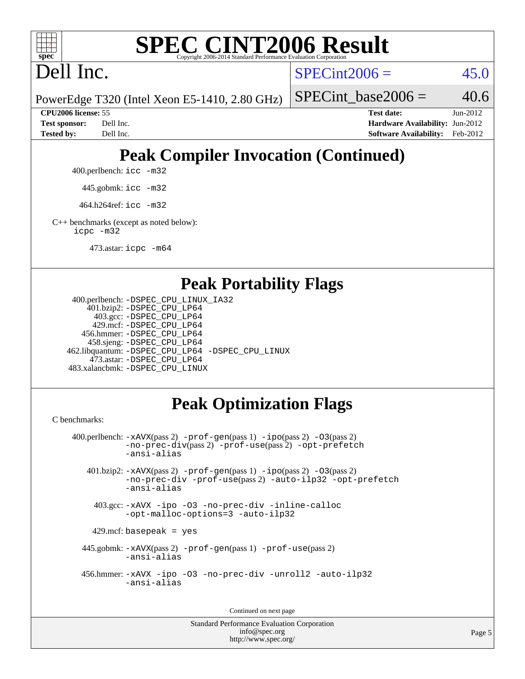

Dell Inc.

 $SPECint2006 = 45.0$  $SPECint2006 = 45.0$ 

SPECint base2006 =  $40.6$ 

PowerEdge T320 (Intel Xeon E5-1410, 2.80 GHz)

**[CPU2006 license:](http://www.spec.org/auto/cpu2006/Docs/result-fields.html#CPU2006license)** 55 **[Test date:](http://www.spec.org/auto/cpu2006/Docs/result-fields.html#Testdate)** Jun-2012 **[Test sponsor:](http://www.spec.org/auto/cpu2006/Docs/result-fields.html#Testsponsor)** Dell Inc. **[Hardware Availability:](http://www.spec.org/auto/cpu2006/Docs/result-fields.html#HardwareAvailability)** Jun-2012

## **[Peak Compiler Invocation \(Continued\)](http://www.spec.org/auto/cpu2006/Docs/result-fields.html#PeakCompilerInvocation)**

**[Tested by:](http://www.spec.org/auto/cpu2006/Docs/result-fields.html#Testedby)** Dell Inc. **[Software Availability:](http://www.spec.org/auto/cpu2006/Docs/result-fields.html#SoftwareAvailability)** Feb-2012

400.perlbench: [icc -m32](http://www.spec.org/cpu2006/results/res2012q3/cpu2006-20120730-23941.flags.html#user_peakCCLD400_perlbench_intel_icc_a6a621f8d50482236b970c6ac5f55f93)

445.gobmk: [icc -m32](http://www.spec.org/cpu2006/results/res2012q3/cpu2006-20120730-23941.flags.html#user_peakCCLD445_gobmk_intel_icc_a6a621f8d50482236b970c6ac5f55f93)

464.h264ref: [icc -m32](http://www.spec.org/cpu2006/results/res2012q3/cpu2006-20120730-23941.flags.html#user_peakCCLD464_h264ref_intel_icc_a6a621f8d50482236b970c6ac5f55f93)

[C++ benchmarks \(except as noted below\):](http://www.spec.org/auto/cpu2006/Docs/result-fields.html#CXXbenchmarksexceptasnotedbelow) [icpc -m32](http://www.spec.org/cpu2006/results/res2012q3/cpu2006-20120730-23941.flags.html#user_CXXpeak_intel_icpc_4e5a5ef1a53fd332b3c49e69c3330699)

473.astar: [icpc -m64](http://www.spec.org/cpu2006/results/res2012q3/cpu2006-20120730-23941.flags.html#user_peakCXXLD473_astar_intel_icpc_64bit_fc66a5337ce925472a5c54ad6a0de310)

#### **[Peak Portability Flags](http://www.spec.org/auto/cpu2006/Docs/result-fields.html#PeakPortabilityFlags)**

```
 400.perlbench: -DSPEC_CPU_LINUX_IA32
    401.bzip2: -DSPEC_CPU_LP64
      403.gcc: -DSPEC_CPU_LP64
     429.mcf: -DSPEC_CPU_LP64
   456.hmmer: -DSPEC_CPU_LP64
    458.sjeng: -DSPEC_CPU_LP64
462.libquantum: -DSPEC_CPU_LP64 -DSPEC_CPU_LINUX
     473.astar: -DSPEC_CPU_LP64
483.xalancbmk: -DSPEC_CPU_LINUX
```
### **[Peak Optimization Flags](http://www.spec.org/auto/cpu2006/Docs/result-fields.html#PeakOptimizationFlags)**

[C benchmarks](http://www.spec.org/auto/cpu2006/Docs/result-fields.html#Cbenchmarks):

```
 400.perlbench: -xAVX(pass 2) -prof-gen(pass 1) -ipo(pass 2) -O3(pass 2)
           -no-prec-div(pass 2) -prof-use(pass 2) -opt-prefetch
          -ansi-alias
   401.bzip2: -xAVX(pass 2) -prof-gen(pass 1) -ipo(pass 2) -O3(pass 2)
           -no-prec-div -prof-use(pass 2) -auto-ilp32 -opt-prefetch
           -ansi-alias
    403.gcc: -xAVX -ipo -O3 -no-prec-div -inline-calloc
           -opt-malloc-options=3 -auto-ilp32
   429.mcf: basepeak = yes
  445.gobmk: -xAVX(pass 2) -prof-gen(pass 1) -prof-use(pass 2)
           -ansi-alias
  456.hmmer: -xAVX -ipo -O3 -no-prec-div -unroll2 -auto-ilp32
           -ansi-alias
```
Continued on next page

```
Standard Performance Evaluation Corporation
             info@spec.org
          http://www.spec.org/
```